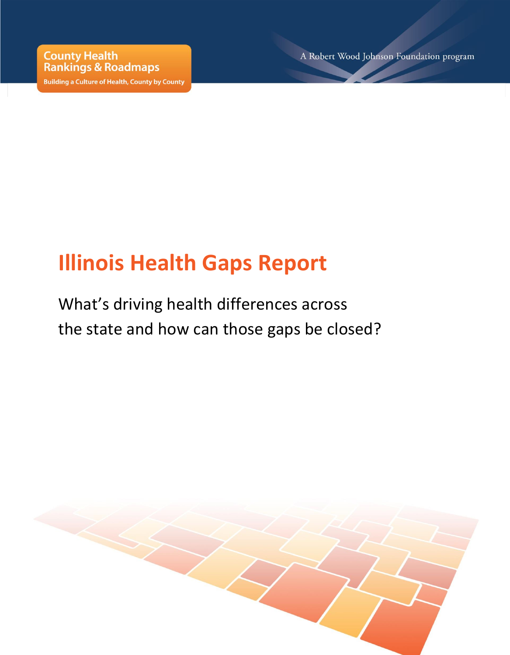**Building a Culture of Health, County by County** 

A Robert Wood Johnson Foundation program

# **Illinois Health Gaps Report**

What's driving health differences across the state and how can those gaps be closed?

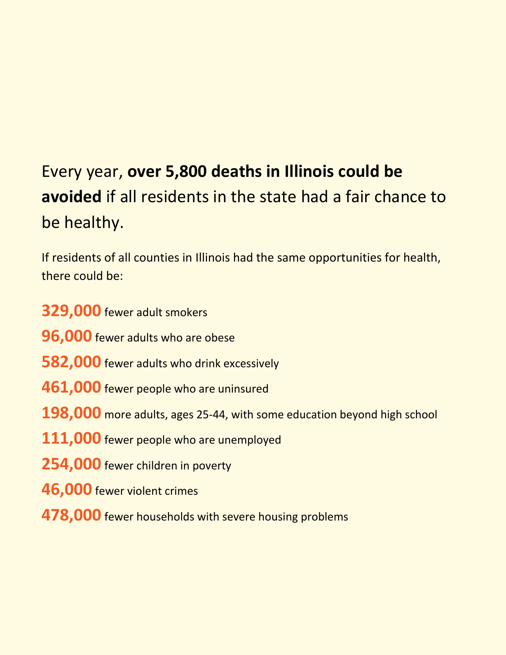# Every year, **over 5,800 deaths in Illinois could be avoided** if all residents in the state had a fair chance to be healthy.

If residents of all counties in Illinois had the same opportunities for health, there could be:

**329,000** fewer adult smokers **96,000** fewer adults who are obese **582,000** fewer adults who drink excessively **461,000** fewer people who are uninsured **198,000** more adults, ages 25-44, with some education beyond high school **111,000** fewer people who are unemployed **254,000** fewer children in poverty **46,000** fewer violent crimes **478,000** fewer households with severe housing problems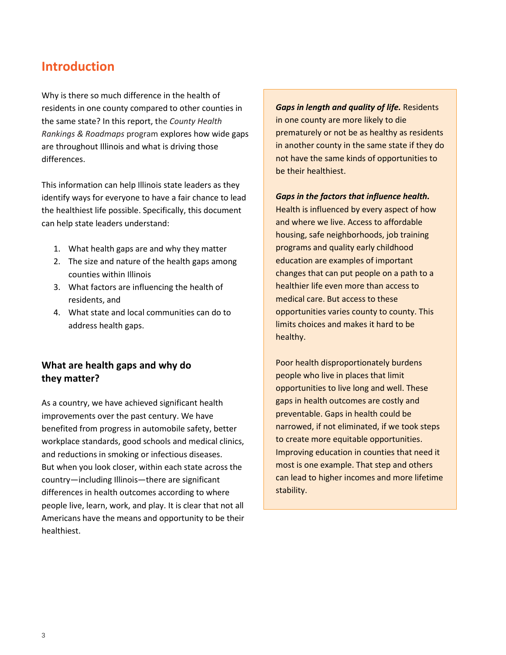## **Introduction**

Why is there so much difference in the health of residents in one county compared to other counties in the same state? In this report, the *County Health Rankings & Roadmaps* program explores how wide gaps are throughout Illinois and what is driving those differences.

This information can help Illinois state leaders as they identify ways for everyone to have a fair chance to lead the healthiest life possible. Specifically, this document can help state leaders understand:

- 1. What health gaps are and why they matter
- 2. The size and nature of the health gaps among counties within Illinois
- 3. What factors are influencing the health of residents, and
- 4. What state and local communities can do to address health gaps.

#### **What are health gaps and why do they matter?**

As a country, we have achieved significant health improvements over the past century. We have benefited from progress in automobile safety, better workplace standards, good schools and medical clinics, and reductions in smoking or infectious diseases. But when you look closer, within each state across the country—including Illinois—there are significant differences in health outcomes according to where people live, learn, work, and play. It is clear that not all Americans have the means and opportunity to be their healthiest.

*Gaps in length and quality of life.* Residents in one county are more likely to die prematurely or not be as healthy as residents in another county in the same state if they do not have the same kinds of opportunities to be their healthiest.

#### *Gaps in the factors that influence health.*

Health is influenced by every aspect of how and where we live. Access to affordable housing, safe neighborhoods, job training programs and quality early childhood education are examples of important changes that can put people on a path to a healthier life even more than access to medical care. But access to these opportunities varies county to county. This limits choices and makes it hard to be healthy.

Poor health disproportionately burdens people who live in places that limit opportunities to live long and well. These gaps in health outcomes are costly and preventable. Gaps in health could be narrowed, if not eliminated, if we took steps to create more equitable opportunities. Improving education in counties that need it most is one example. That step and others can lead to higher incomes and more lifetime stability.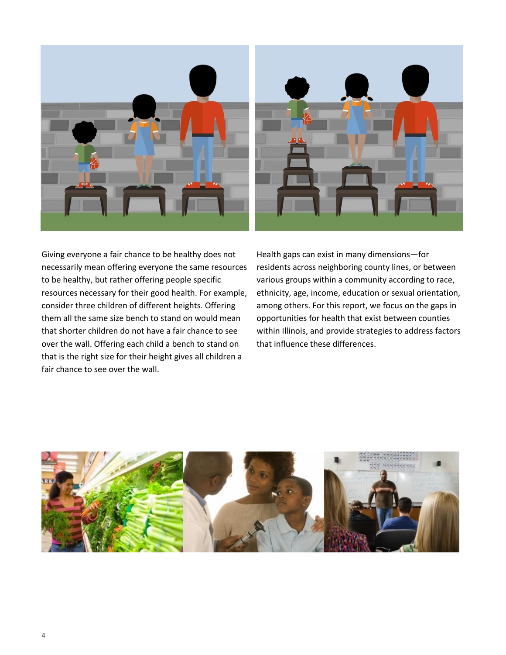

Giving everyone a fair chance to be healthy does not necessarily mean offering everyone the same resources to be healthy, but rather offering people specific resources necessary for their good health. For example, consider three children of different heights. Offering them all the same size bench to stand on would mean that shorter children do not have a fair chance to see over the wall. Offering each child a bench to stand on that is the right size for their height gives all children a fair chance to see over the wall.

Health gaps can exist in many dimensions—for residents across neighboring county lines, or between various groups within a community according to race, ethnicity, age, income, education or sexual orientation, among others. For this report, we focus on the gaps in opportunities for health that exist between counties within Illinois, and provide strategies to address factors that influence these differences.

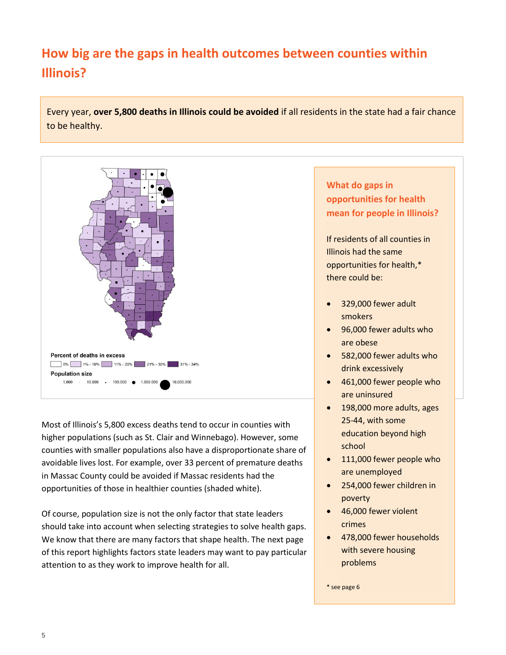# **How big are the gaps in health outcomes between counties within Illinois?**

Every year, **over 5,800 deaths in Illinois could be avoided** if all residents in the state had a fair chance to be healthy.



Most of Illinois's 5,800 excess deaths tend to occur in counties with higher populations (such as St. Clair and Winnebago). However, some counties with smaller populations also have a disproportionate share of avoidable lives lost. For example, over 33 percent of premature deaths in Massac County could be avoided if Massac residents had the opportunities of those in healthier counties (shaded white).

Of course, population size is not the only factor that state leaders should take into account when selecting strategies to solve health gaps. We know that there are many factors that shape health. The next page of this report highlights factors state leaders may want to pay particular attention to as they work to improve health for all.

**What do gaps in opportunities for health mean for people in Illinois?** 

If residents of all counties in Illinois had the same opportunities for health,\* there could be:

- 329,000 fewer adult smokers
- 96,000 fewer adults who are obese
- 582,000 fewer adults who drink excessively
- 461,000 fewer people who are uninsured
- 198,000 more adults, ages 25-44, with some education beyond high school
- 111,000 fewer people who are unemployed
- 254,000 fewer children in poverty
- 46,000 fewer violent crimes
- 478,000 fewer households with severe housing problems

\* see page 6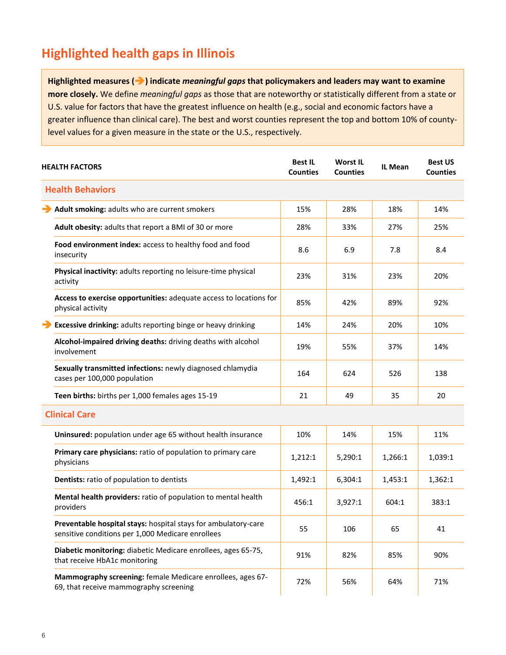# **Highlighted health gaps in Illinois**

**Highlighted measures () indicate** *meaningful gaps* **that policymakers and leaders may want to examine more closely.** We define *meaningful gaps* as those that are noteworthy or statistically different from a state or U.S. value for factors that have the greatest influence on health (e.g., social and economic factors have a greater influence than clinical care). The best and worst counties represent the top and bottom 10% of countylevel values for a given measure in the state or the U.S., respectively.

|  | <b>HEALTH FACTORS</b>                                                                                               | <b>Best IL</b><br><b>Counties</b> | <b>Worst IL</b><br><b>Counties</b> | <b>IL Mean</b> | <b>Best US</b><br><b>Counties</b> |
|--|---------------------------------------------------------------------------------------------------------------------|-----------------------------------|------------------------------------|----------------|-----------------------------------|
|  | <b>Health Behaviors</b>                                                                                             |                                   |                                    |                |                                   |
|  | Adult smoking: adults who are current smokers                                                                       | 15%                               | 28%                                | 18%            | 14%                               |
|  | Adult obesity: adults that report a BMI of 30 or more                                                               | 28%                               | 33%                                | 27%            | 25%                               |
|  | Food environment index: access to healthy food and food<br>insecurity                                               | 8.6                               | 6.9                                | 7.8            | 8.4                               |
|  | Physical inactivity: adults reporting no leisure-time physical<br>activity                                          | 23%                               | 31%                                | 23%            | 20%                               |
|  | Access to exercise opportunities: adequate access to locations for<br>physical activity                             | 85%                               | 42%                                | 89%            | 92%                               |
|  | <b>Excessive drinking:</b> adults reporting binge or heavy drinking                                                 | 14%                               | 24%                                | 20%            | 10%                               |
|  | Alcohol-impaired driving deaths: driving deaths with alcohol<br>involvement                                         | 19%                               | 55%                                | 37%            | 14%                               |
|  | Sexually transmitted infections: newly diagnosed chlamydia<br>cases per 100,000 population                          | 164                               | 624                                | 526            | 138                               |
|  | Teen births: births per 1,000 females ages 15-19                                                                    | 21                                | 49                                 | 35             | 20                                |
|  | <b>Clinical Care</b>                                                                                                |                                   |                                    |                |                                   |
|  | Uninsured: population under age 65 without health insurance                                                         | 10%                               | 14%                                | 15%            | 11%                               |
|  | Primary care physicians: ratio of population to primary care<br>physicians                                          | 1,212:1                           | 5,290:1                            | 1,266:1        | 1,039:1                           |
|  | Dentists: ratio of population to dentists                                                                           | 1,492:1                           | 6,304:1                            | 1,453:1        | 1,362:1                           |
|  | Mental health providers: ratio of population to mental health<br>providers                                          | 456:1                             | 3,927:1                            | 604:1          | 383:1                             |
|  | Preventable hospital stays: hospital stays for ambulatory-care<br>sensitive conditions per 1,000 Medicare enrollees | 55                                | 106                                | 65             | 41                                |
|  | Diabetic monitoring: diabetic Medicare enrollees, ages 65-75,<br>that receive HbA1c monitoring                      | 91%                               | 82%                                | 85%            | 90%                               |
|  | Mammography screening: female Medicare enrollees, ages 67-<br>69, that receive mammography screening                | 72%                               | 56%                                | 64%            | 71%                               |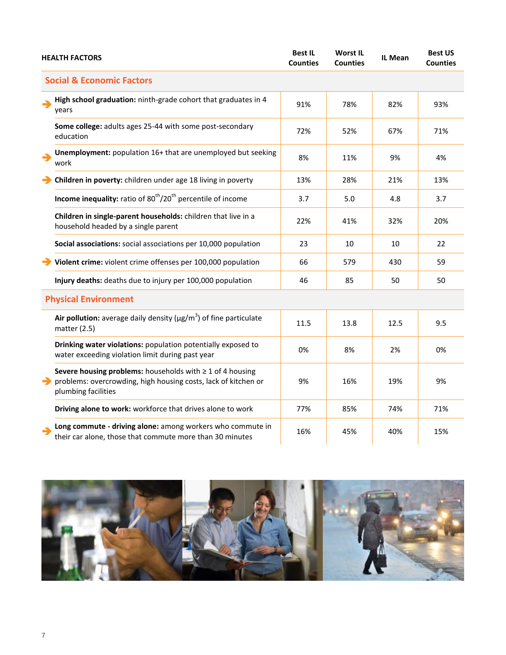| <b>HEALTH FACTORS</b> |                                                                                                                                                         | <b>Best IL</b><br><b>Counties</b> | <b>Worst IL</b><br><b>Counties</b> | IL Mean | <b>Best US</b><br><b>Counties</b> |
|-----------------------|---------------------------------------------------------------------------------------------------------------------------------------------------------|-----------------------------------|------------------------------------|---------|-----------------------------------|
|                       | <b>Social &amp; Economic Factors</b>                                                                                                                    |                                   |                                    |         |                                   |
|                       | High school graduation: ninth-grade cohort that graduates in 4<br>years                                                                                 | 91%                               | 78%                                | 82%     | 93%                               |
|                       | Some college: adults ages 25-44 with some post-secondary<br>education                                                                                   | 72%                               | 52%                                | 67%     | 71%                               |
| →                     | Unemployment: population 16+ that are unemployed but seeking<br>work                                                                                    | 8%                                | 11%                                | 9%      | 4%                                |
|                       | Children in poverty: children under age 18 living in poverty                                                                                            | 13%                               | 28%                                | 21%     | 13%                               |
|                       | Income inequality: ratio of 80 <sup>th</sup> /20 <sup>th</sup> percentile of income                                                                     | 3.7                               | 5.0                                | 4.8     | 3.7                               |
|                       | Children in single-parent households: children that live in a<br>household headed by a single parent                                                    | 22%                               | 41%                                | 32%     | 20%                               |
|                       | Social associations: social associations per 10,000 population                                                                                          | 23                                | 10                                 | 10      | 22                                |
|                       | Violent crime: violent crime offenses per 100,000 population                                                                                            | 66                                | 579                                | 430     | 59                                |
|                       | Injury deaths: deaths due to injury per 100,000 population                                                                                              | 46                                | 85                                 | 50      | 50                                |
|                       | <b>Physical Environment</b>                                                                                                                             |                                   |                                    |         |                                   |
|                       | Air pollution: average daily density ( $\mu$ g/m <sup>3</sup> ) of fine particulate<br>matter $(2.5)$                                                   | 11.5                              | 13.8                               | 12.5    | 9.5                               |
|                       | Drinking water violations: population potentially exposed to<br>water exceeding violation limit during past year                                        | 0%                                | 8%                                 | 2%      | 0%                                |
| →                     | Severe housing problems: households with $\geq 1$ of 4 housing<br>problems: overcrowding, high housing costs, lack of kitchen or<br>plumbing facilities | 9%                                | 16%                                | 19%     | 9%                                |
|                       | Driving alone to work: workforce that drives alone to work                                                                                              | 77%                               | 85%                                | 74%     | 71%                               |
|                       | Long commute - driving alone: among workers who commute in<br>their car alone, those that commute more than 30 minutes                                  | 16%                               | 45%                                | 40%     | 15%                               |

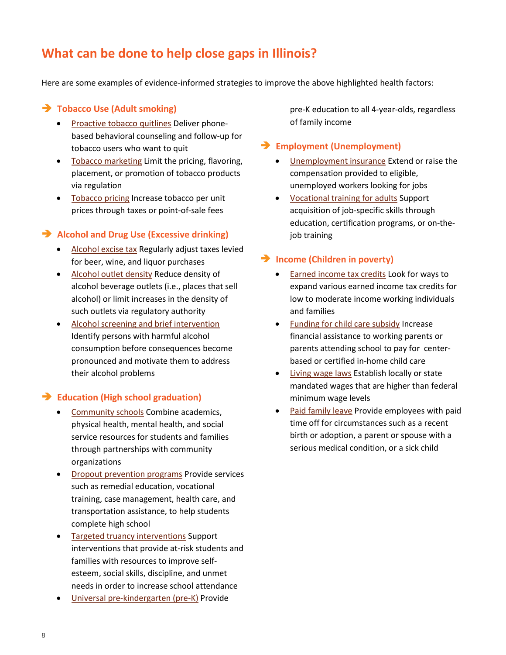# **What can be done to help close gaps in Illinois?**

Here are some examples of evidence-informed strategies to improve the above highlighted health factors:

#### **Tobacco Use (Adult smoking)**

- [Proactive tobacco quitlines](http://www.countyhealthrankings.org/policies/proactive-tobacco-quitlines) Deliver phonebased behavioral counseling and follow-up for tobacco users who want to quit
- [Tobacco marketing](http://www.countyhealthrankings.org/policies/restrict-tobacco-marketing) Limit the pricing, flavoring, placement, or promotion of tobacco products via regulation
- [Tobacco pricing](http://www.countyhealthrankings.org/policies/increase-price-tobacco) Increase tobacco per unit prices through taxes or point-of-sale fees

#### **Alcohol and Drug Use (Excessive drinking)**

- [Alcohol excise tax](http://www.countyhealthrankings.org/policies/increase-alcohol-excise-tax) Regularly adjust taxes levied for beer, wine, and liquor purchases
- [Alcohol outlet density](http://www.countyhealthrankings.org/policies/reduce-or-limit-alcohol-outlet-density) Reduce density of alcohol beverage outlets (i.e., places that sell alcohol) or limit increases in the density of such outlets via regulatory authority
- [Alcohol screening and brief intervention](http://www.countyhealthrankings.org/policies/alcohol-screening-and-brief-intervention) Identify persons with harmful alcohol consumption before consequences become pronounced and motivate them to address their alcohol problems

#### **Education (High school graduation)**

- [Community schools](http://www.countyhealthrankings.org/policies/community-schools) Combine academics, physical health, mental health, and social service resources for students and families through partnerships with community organizations
- [Dropout prevention programs](http://www.countyhealthrankings.org/policies/dropout-prevention-programs) Provide services such as remedial education, vocational training, case management, health care, and transportation assistance, to help students complete high school
- [Targeted truancy interventions](http://www.countyhealthrankings.org/policies/targeted-truancy-interventions) Support interventions that provide at-risk students and families with resources to improve selfesteem, social skills, discipline, and unmet needs in order to increase school attendance
- Universal pre-[kindergarten \(pre](http://www.countyhealthrankings.org/policies/universal-pre-kindergarten-pre-k)-K) Provide

pre-K education to all 4-year-olds, regardless of family income

#### **Employment (Unemployment)**

- **•** [Unemployment insurance](http://www.countyhealthrankings.org/policies/unemployment-insurance-ui) Extend or raise the compensation provided to eligible, unemployed workers looking for jobs
- [Vocational training for adults](http://www.countyhealthrankings.org/policies/vocational-training-adults) Support acquisition of job-specific skills through education, certification programs, or on-thejob training

#### **Income (Children in poverty)**

- **[Earned income tax credits](http://www.countyhealthrankings.org/policies/increase-earned-income-tax-credit-eitc) Look for ways to** expand various earned income tax credits for low to moderate income working individuals and families
- [Funding for child care subsidy](http://www.countyhealthrankings.org/policies/increase-funding-child-care-subsidy) Increase financial assistance to working parents or parents attending school to pay for centerbased or certified in-home child care
- [Living wage laws](http://www.countyhealthrankings.org/policies/living-wage-laws) Establish locally or state mandated wages that are higher than federal minimum wage levels
- [Paid family leave](http://www.countyhealthrankings.org/policies/paid-family-leave) Provide employees with paid time off for circumstances such as a recent birth or adoption, a parent or spouse with a serious medical condition, or a sick child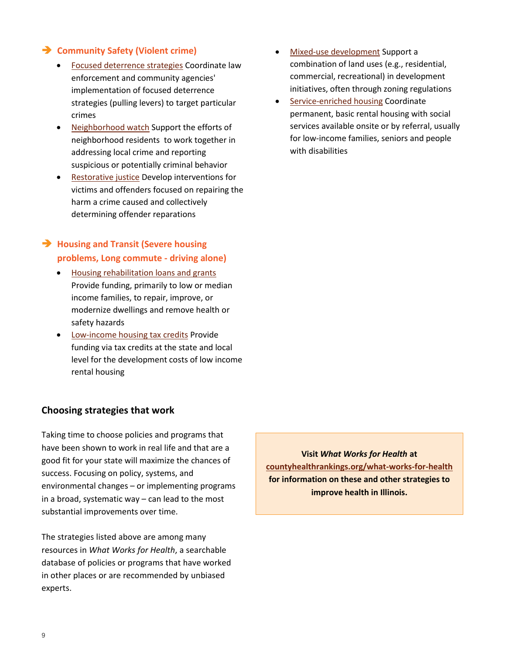#### **Community Safety (Violent crime)**

- [Focused deterrence strategies](http://www.countyhealthrankings.org/policies/focused-deterrence-strategies-ie-pulling-levers) Coordinate law enforcement and community agencies' implementation of focused deterrence strategies (pulling levers) to target particular crimes
- [Neighborhood watch](http://www.countyhealthrankings.org/policies/neighborhood-watch) Support the efforts of neighborhood residents to work together in addressing local crime and reporting suspicious or potentially criminal behavior
- [Restorative justice](http://www.countyhealthrankings.org/policies/restorative-justice) Develop interventions for victims and offenders focused on repairing the harm a crime caused and collectively determining offender reparations

#### **Housing and Transit (Severe housing problems, Long commute - driving alone)**

- [Housing rehabilitation loans and grants](http://www.countyhealthrankings.org/policies/housing-rehabilitation-loan-grant-programs) Provide funding, primarily to low or median income families, to repair, improve, or modernize dwellings and remove health or safety hazards
- Low-[income housing tax credits](http://www.countyhealthrankings.org/policies/low-income-housing-tax-credits-lihtcs) Provide funding via tax credits at the state and local level for the development costs of low income rental housing

#### **Choosing strategies that work**

Taking time to choose policies and programs that have been shown to work in real life and that are a good fit for your state will maximize the chances of success. Focusing on policy, systems, and environmental changes – or implementing programs in a broad, systematic way – can lead to the most substantial improvements over time.

The strategies listed above are among many resources in *What Works for Health*, a searchable database of policies or programs that have worked in other places or are recommended by unbiased experts.

- Mixed-[use development](http://www.countyhealthrankings.org/policies/mixed-use-development) Support a combination of land uses (e.g., residential, commercial, recreational) in development initiatives, often through zoning regulations
- Service-[enriched housing](http://www.countyhealthrankings.org/policies/service-enriched-housing) Coordinate permanent, basic rental housing with social services available onsite or by referral, usually for low-income families, seniors and people with disabilities

**Visit** *What Works for Health* **at [countyhealthrankings.org/what-works-for-health](http://www.countyhealthrankings.org/what-works-for-health) for information on these and other strategies to improve health in Illinois.**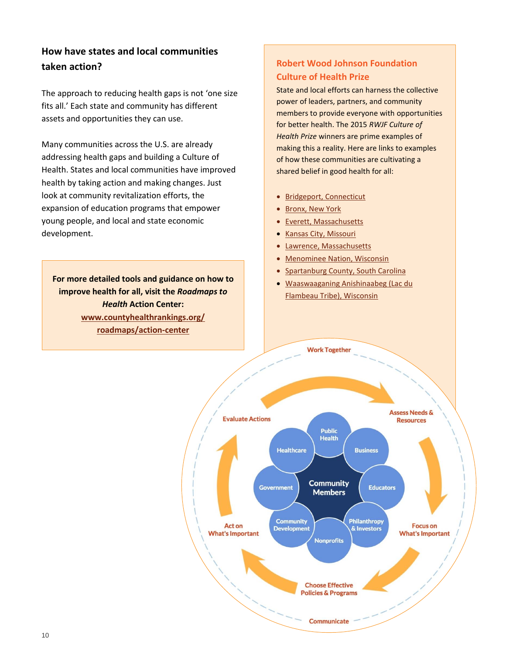### **How have states and local communities taken action?**

The approach to reducing health gaps is not 'one size fits all.' Each state and community has different assets and opportunities they can use.

Many communities across the U.S. are already addressing health gaps and building a Culture of Health. States and local communities have improved health by taking action and making changes. Just look at community revitalization efforts, the expansion of education programs that empower young people, and local and state economic development.

**For more detailed tools and guidance on how to improve health for all, visit the** *Roadmaps to Health* **Action Center: [www.countyhealthrankings.org/](http://www.countyhealthrankings.org/roadmaps/action-center) [roadmaps/action-center](http://www.countyhealthrankings.org/roadmaps/action-center)**

#### **Robert Wood Johnson Foundation Culture of Health Prize**

State and local efforts can harness the collective power of leaders, partners, and community members to provide everyone with opportunities for better health. The 2015 *RWJF Culture of Health Prize* winners are prime examples of making this a reality. Here are links to examples of how these communities are cultivating a shared belief in good health for all:

- [Bridgeport, Connecticut](http://www.rwjf.org/2015Prize/Bridgeport)
- [Bronx, New York](http://www.rwjf.org/2015Prize/Bronx)
- [Everett, Massachusetts](http://www.rwjf.org/2015Prize/Everett)
- [Kansas City,](http://www.rwjf.org/2015Prize/KansasCity) Missouri
- [Lawrence, Massachusetts](http://www.rwjf.org/2015Prize/Lawrence)
- [Menominee Nation, Wisconsin](http://www.rwjf.org/2015Prize/Menominee)
- [Spartanburg County, South Carolina](http://www.rwjf.org/2015Prize/Spartanburg)
- [Waaswaaganing Anishinaabeg \(Lac du](http://www.rwjf.org/2015Prize/WA)  [Flambeau Tribe\), Wisconsin](http://www.rwjf.org/2015Prize/WA)

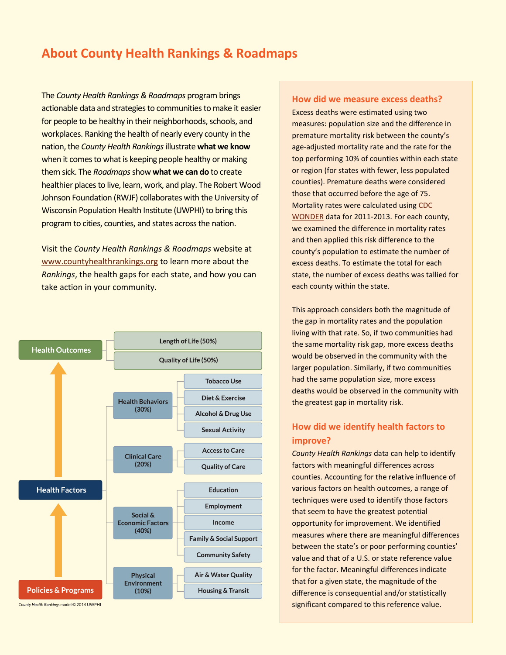### **About County Health Rankings & Roadmaps**

The *County Health Rankings & Roadmaps* program brings actionable data and strategies to communities to make it easier for people to be healthy in their neighborhoods, schools, and workplaces. Ranking the health of nearly every county in the nation, the *County Health Rankings* illustrate **what we know** when it comes to what is keeping people healthy or making them sick. The *Roadmaps* show **what we can do** to create healthier places to live, learn, work, and play. The Robert Wood Johnson Foundation (RWJF) collaborates with the University of Wisconsin Population Health Institute (UWPHI) to bring this program to cities, counties, and states across the nation.

Visit the *County Health Rankings & Roadmaps* website at [www.countyhealthrankings.org](http://www.countyhealthrankings.org/) to learn more about the *Rankings*, the health gaps for each state, and how you can take action in your community.



County Health Rankings model © 2014 UWPHI

#### **How did we measure excess deaths?**

Excess deaths were estimated using two measures: population size and the difference in premature mortality risk between the county's age-adjusted mortality rate and the rate for the top performing 10% of counties within each state or region (for states with fewer, less populated counties). Premature deaths were considered those that occurred before the age of 75. Mortality rates were calculated usin[g CDC](http://wonder.cdc.gov/)  [WONDER](http://wonder.cdc.gov/) data for 2011-2013. For each county, we examined the difference in mortality rates and then applied this risk difference to the county's population to estimate the number of excess deaths. To estimate the total for each state, the number of excess deaths was tallied for each county within the state.

This approach considers both the magnitude of the gap in mortality rates and the population living with that rate. So, if two communities had the same mortality risk gap, more excess deaths would be observed in the community with the larger population. Similarly, if two communities had the same population size, more excess deaths would be observed in the community with the greatest gap in mortality risk.

#### **How did we identify health factors to improve?**

*County Health Rankings* data can help to identify factors with meaningful differences across counties. Accounting for the relative influence of various factors on health outcomes, a range of techniques were used to identify those factors that seem to have the greatest potential opportunity for improvement. We identified measures where there are meaningful differences between the state's or poor performing counties' value and that of a U.S. or state reference value for the factor. Meaningful differences indicate that for a given state, the magnitude of the difference is consequential and/or statistically significant compared to this reference value.